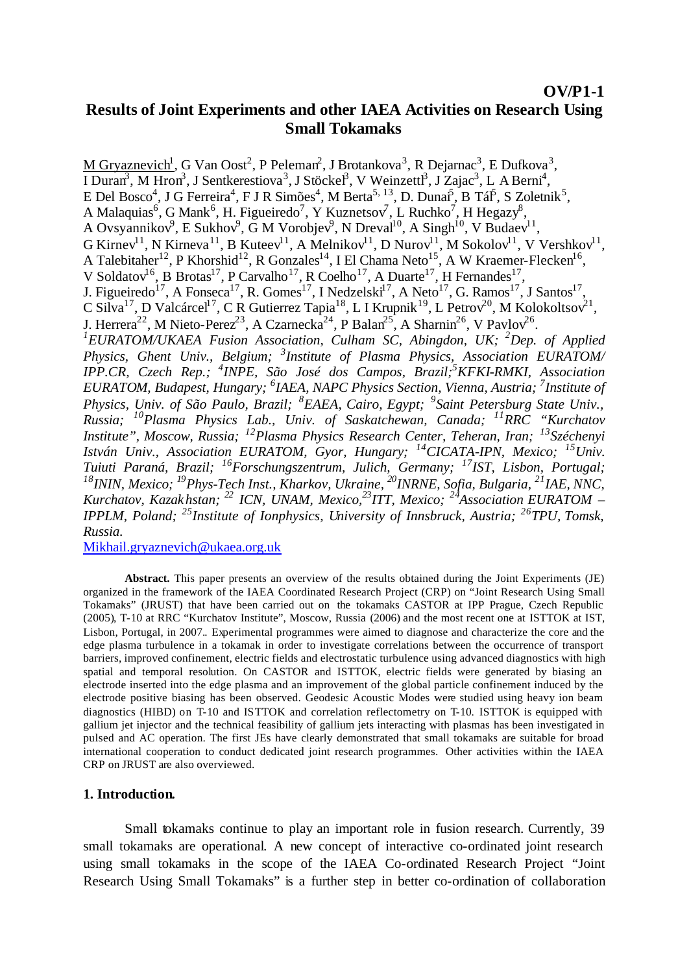### **OV/P1-1**

# **Results of Joint Experiments and other IAEA Activities on Research Using Small Tokamaks**

M Gryaznevich<sup>1</sup>, G Van Oost<sup>2</sup>, P Peleman<sup>2</sup>, J Brotankova<sup>3</sup>, R Dejarnac<sup>3</sup>, E Dufkova<sup>3</sup>, I Duran<sup>3</sup>, M Hron<sup>3</sup>, J Sentkerestiova<sup>3</sup>, J Stöckel<sup>3</sup>, V Weinzettl<sup>3</sup>, J Zajac<sup>3</sup>, L A Berni<sup>4</sup>, E Del Bosco<sup>4</sup>, J G Ferreira<sup>4</sup>, F J R Simões<sup>4</sup>, M Berta<sup>5, 13</sup>, D. Dunai<sup>5</sup>, B Tál<sup>5</sup>, S Zoletnik<sup>5</sup>, A Malaquias<sup>6</sup>, G Mank<sup>6</sup>, H. Figueiredo<sup>7</sup>, Y Kuznetsov<sup>7</sup>, L Ruchko<sup>7</sup>, H Hegazy<sup>8</sup>, A Ovsyannikov<sup>9</sup>, E Sukhov<sup>9</sup>, G M Vorobjev<sup>9</sup>, N Dreval<sup>10</sup>, A Singh<sup>10</sup>, V Budaev<sup>11</sup>, G Kirnev<sup>11</sup>, N Kirneva<sup>11</sup>, B Kuteev<sup>11</sup>, A Melnikov<sup>11</sup>, D Nurov<sup>11</sup>, M Sokolov<sup>11</sup>, V Vershkov<sup>11</sup>, A Talebitaher<sup>12</sup>, P Khorshid<sup>12</sup>, R Gonzales<sup>14</sup>, I El Chama Neto<sup>15</sup>, A W Kraemer-Flecken<sup>16</sup>, V Soldatov<sup>16</sup>, B Brotas<sup>17</sup>, P Carvalho<sup>17</sup>, R Coelho<sup>17</sup>, A Duarte<sup>17</sup>, H Fernandes<sup>17</sup>, J. Figueiredo<sup>17</sup>, A Fonseca<sup>17</sup>, R. Gomes<sup>17</sup>, I Nedzelski<sup>17</sup>, A Neto<sup>17</sup>, G. Ramos<sup>17</sup>, J Santos<sup>17</sup>, C Silva<sup>17</sup>, D Valcárcel<sup>17</sup>, C R Gutierrez Tapia<sup>18</sup>, L I Krupnik<sup>19</sup>, L Petrov<sup>20</sup>, M Kolokoltsov<sup>21</sup>, J. Herrera<sup>22</sup>, M Nieto-Perez<sup>23</sup>, A Czarnecka<sup>24</sup>, P Balan<sup>25</sup>, A Sharnin<sup>26</sup>, V Pavlov<sup>26</sup>. *<sup>1</sup>EURATOM/UKAEA Fusion Association, Culham SC, Abingdon, UK; <sup>2</sup>Dep. of Applied Physics, Ghent Univ., Belgium; <sup>3</sup> Institute of Plasma Physics, Association EURATOM/ IPP.CR, Czech Rep.; <sup>4</sup> INPE, São José dos Campos, Brazil;<sup>5</sup>KFKI-RMKI, Association EURATOM, Budapest, Hungary; <sup>6</sup> IAEA, NAPC Physics Section, Vienna, Austria; <sup>7</sup> Institute of Physics, Univ. of São Paulo, Brazil; <sup>8</sup>EAEA, Cairo, Egypt; <sup>9</sup> Saint Petersburg State Univ., Russia; <sup>10</sup>Plasma Physics Lab., Univ. of Saskatchewan, Canada; <sup>11</sup>RRC "Kurchatov Institute", Moscow, Russia; <sup>12</sup>Plasma Physics Research Center, Teheran, Iran; <sup>13</sup>Széchenyi István Univ., Association EURATOM, Gyor, Hungary; <sup>14</sup>CICATA-IPN, Mexico; <sup>15</sup>Univ. Tuiuti Paraná, Brazil; <sup>16</sup>Forschungszentrum, Julich, Germany; <sup>17</sup>IST, Lisbon, Portugal; <sup>18</sup>ININ, Mexico; <sup>19</sup>Phys-Tech Inst., Kharkov, Ukraine, <sup>20</sup>INRNE, Sofia, Bulgaria, <sup>21</sup>IAE, NNC, Kurchatov, Kazakhstan; <sup>22</sup> ICN, UNAM, Mexico,<sup>23</sup>ITT, Mexico; <sup>24</sup>Association EURATOM – IPPLM, Poland; <sup>25</sup>Institute of Ionphysics, University of Innsbruck, Austria; <sup>26</sup>TPU, Tomsk, Russia.*

Mikhail.gryaznevich@ukaea.org.uk

**Abstract.** This paper presents an overview of the results obtained during the Joint Experiments (JE) organized in the framework of the IAEA Coordinated Research Project (CRP) on "Joint Research Using Small Tokamaks" (JRUST) that have been carried out on the tokamaks CASTOR at IPP Prague, Czech Republic (2005), T-10 at RRC "Kurchatov Institute", Moscow, Russia (2006) and the most recent one at ISTTOK at IST, Lisbon, Portugal, in 2007.. Experimental programmes were aimed to diagnose and characterize the core and the edge plasma turbulence in a tokamak in order to investigate correlations between the occurrence of transport barriers, improved confinement, electric fields and electrostatic turbulence using advanced diagnostics with high spatial and temporal resolution. On CASTOR and ISTTOK, electric fields were generated by biasing an electrode inserted into the edge plasma and an improvement of the global particle confinement induced by the electrode positive biasing has been observed. Geodesic Acoustic Modes were studied using heavy ion beam diagnostics (HIBD) on T-10 and ISTTOK and correlation reflectometry on T-10. ISTTOK is equipped with gallium jet injector and the technical feasibility of gallium jets interacting with plasmas has been investigated in pulsed and AC operation. The first JEs have clearly demonstrated that small tokamaks are suitable for broad international cooperation to conduct dedicated joint research programmes. Other activities within the IAEA CRP on JRUST are also overviewed.

### **1. Introduction.**

Small tokamaks continue to play an important role in fusion research. Currently, 39 small tokamaks are operational. A new concept of interactive co-ordinated joint research using small tokamaks in the scope of the IAEA Co-ordinated Research Project "Joint Research Using Small Tokamaks" is a further step in better co-ordination of collaboration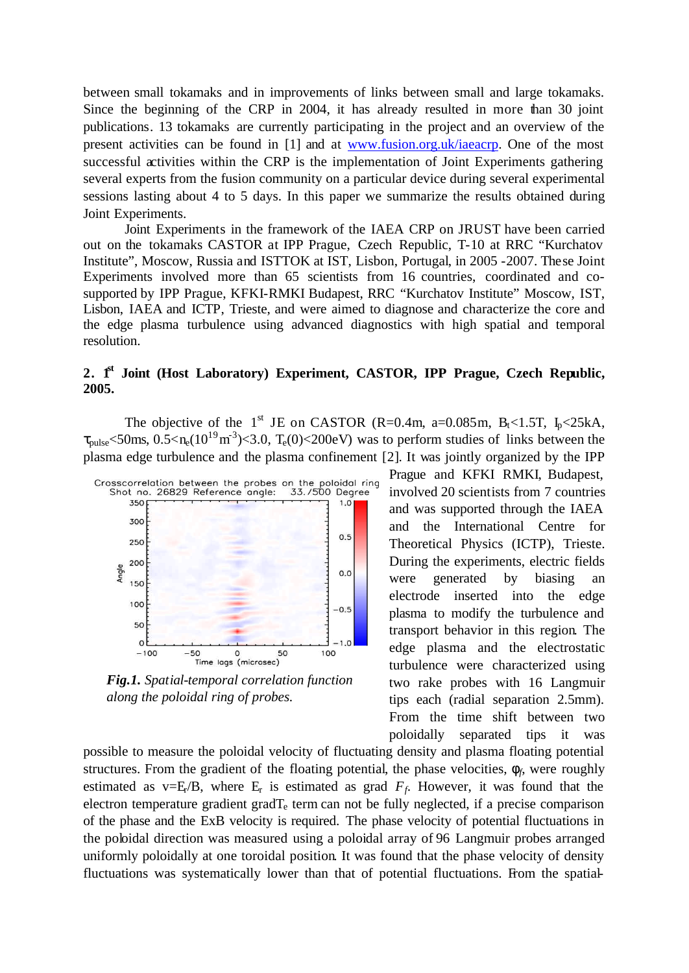between small tokamaks and in improvements of links between small and large tokamaks. Since the beginning of the CRP in 2004, it has already resulted in more than 30 joint publications. 13 tokamaks are currently participating in the project and an overview of the present activities can be found in [1] and at www.fusion.org.uk/iaeacrp. One of the most successful activities within the CRP is the implementation of Joint Experiments gathering several experts from the fusion community on a particular device during several experimental sessions lasting about 4 to 5 days. In this paper we summarize the results obtained during Joint Experiments.

Joint Experiments in the framework of the IAEA CRP on JRUST have been carried out on the tokamaks CASTOR at IPP Prague, Czech Republic, T-10 at RRC "Kurchatov Institute", Moscow, Russia and ISTTOK at IST, Lisbon, Portugal, in 2005 -2007. These Joint Experiments involved more than 65 scientists from 16 countries, coordinated and cosupported by IPP Prague, KFKI-RMKI Budapest, RRC "Kurchatov Institute" Moscow, IST, Lisbon, IAEA and ICTP, Trieste, and were aimed to diagnose and characterize the core and the edge plasma turbulence using advanced diagnostics with high spatial and temporal resolution.

### **2. 1st Joint (Host Laboratory) Experiment, CASTOR, IPP Prague, Czech Republic, 2005.**

The objective of the 1<sup>st</sup> JE on CASTOR (R=0.4m, a=0.085m, B<sub>t</sub><1.5T, I<sub>p</sub><25kA,  $\tau_{\text{pulse}}$  <50ms, 0.5 < n<sub>e</sub> $(10^{19} \text{m}^3)$  < 3.0, T<sub>e</sub> $(0)$  < 200eV) was to perform studies of links between the plasma edge turbulence and the plasma confinement [2]. It was jointly organized by the IPP



*Fig.1. Spatial-temporal correlation function along the poloidal ring of probes.*

Prague and KFKI RMKI, Budapest, involved 20 scientists from 7 countries and was supported through the IAEA and the International Centre for Theoretical Physics (ICTP), Trieste. During the experiments, electric fields were generated by biasing an electrode inserted into the edge plasma to modify the turbulence and transport behavior in this region. The edge plasma and the electrostatic turbulence were characterized using two rake probes with 16 Langmuir tips each (radial separation 2.5mm). From the time shift between two poloidally separated tips it was

possible to measure the poloidal velocity of fluctuating density and plasma floating potential structures. From the gradient of the floating potential, the phase velocities,  $f_f$ , were roughly estimated as  $v=E/B$ , where  $E_r$  is estimated as grad  $F_f$ . However, it was found that the electron temperature gradient grad $T_e$  term can not be fully neglected, if a precise comparison of the phase and the ExB velocity is required. The phase velocity of potential fluctuations in the poloidal direction was measured using a poloidal array of 96 Langmuir probes arranged uniformly poloidally at one toroidal position. It was found that the phase velocity of density fluctuations was systematically lower than that of potential fluctuations. From the spatial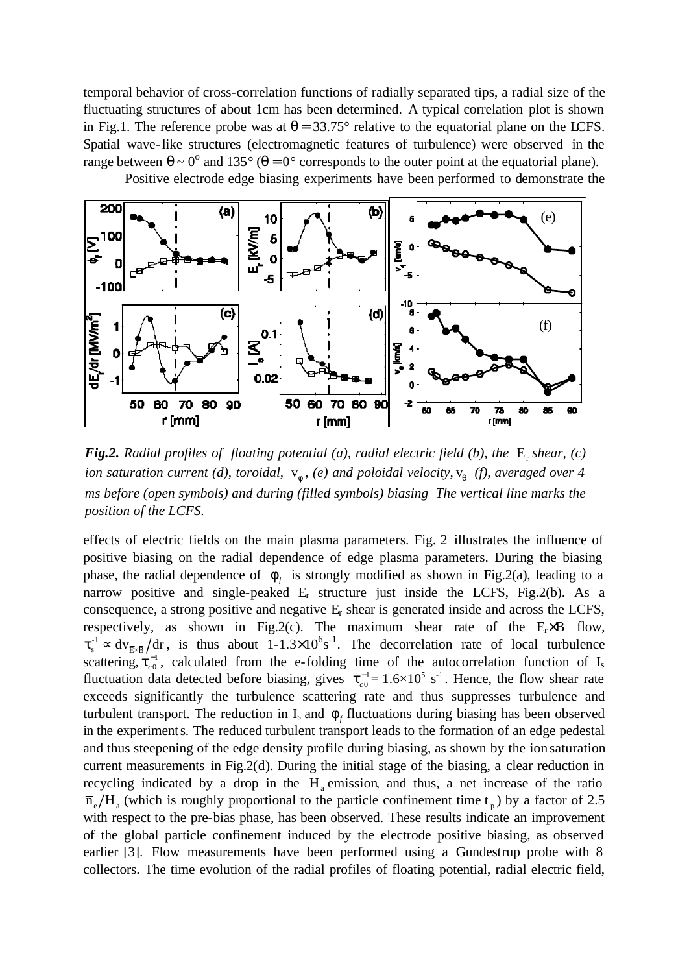temporal behavior of cross-correlation functions of radially separated tips, a radial size of the fluctuating structures of about 1cm has been determined. A typical correlation plot is shown in Fig.1. The reference probe was at  $\theta = 33.75^{\circ}$  relative to the equatorial plane on the LCFS. Spatial wave-like structures (electromagnetic features of turbulence) were observed in the range between  $\theta \sim 0^{\circ}$  and 135° ( $\theta = 0^{\circ}$  corresponds to the outer point at the equatorial plane).

Positive electrode edge biasing experiments have been performed to demonstrate the



**Fig.2.** Radial profiles of floating potential (a), radial electric field (b), the  $E_r$  shear, (c) *ion saturation current (d), toroidal,*  $v_f$ , *(e) and poloidal velocity*,  $v_q$  *(f), averaged over 4 ms before (open symbols) and during (filled symbols) biasing The vertical line marks the position of the LCFS.*

effects of electric fields on the main plasma parameters. Fig. 2 illustrates the influence of positive biasing on the radial dependence of edge plasma parameters. During the biasing phase, the radial dependence of  $f<sub>f</sub>$  is strongly modified as shown in Fig.2(a), leading to a narrow positive and single-peaked  $E_r$  structure just inside the LCFS, Fig.2(b). As a consequence, a strong positive and negative Er shear is generated inside and across the LCFS, respectively, as shown in Fig.2(c). The maximum shear rate of the  $E<sub>r</sub> \times B$  flow,  $t_s^{-1} \propto dv_{\bar{E} \times \bar{B}}$  dr, is thus about 1-1.3×10<sup>6</sup>s<sup>-1</sup>. The decorrelation rate of local turbulence scattering,  $t_{c0}^{-1}$ , calculated from the e-folding time of the autocorrelation function of I<sub>s</sub> fluctuation data detected before biasing, gives  $t_{c0}^{-1} = 1.6 \times 10^5$  s<sup>-1</sup>. Hence, the flow shear rate exceeds significantly the turbulence scattering rate and thus suppresses turbulence and turbulent transport. The reduction in  $I_s$  and  $f_f$  fluctuations during biasing has been observed in the experiments. The reduced turbulent transport leads to the formation of an edge pedestal and thus steepening of the edge density profile during biasing, as shown by the ion saturation current measurements in Fig.2(d). During the initial stage of the biasing, a clear reduction in recycling indicated by a drop in the  $H_a$  emission, and thus, a net increase of the ratio  $\overline{n}_{e}/H_{a}$  (which is roughly proportional to the particle confinement time t<sub>p</sub>) by a factor of 2.5 with respect to the pre-bias phase, has been observed. These results indicate an improvement of the global particle confinement induced by the electrode positive biasing, as observed earlier [3]. Flow measurements have been performed using a Gundestrup probe with 8 collectors. The time evolution of the radial profiles of floating potential, radial electric field,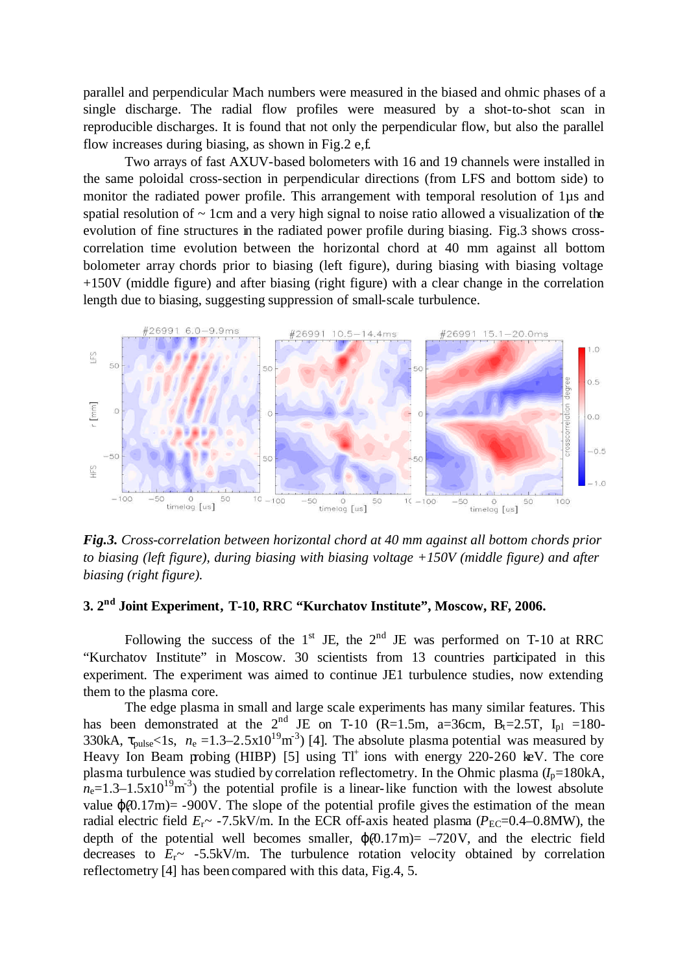parallel and perpendicular Mach numbers were measured in the biased and ohmic phases of a single discharge. The radial flow profiles were measured by a shot-to-shot scan in reproducible discharges. It is found that not only the perpendicular flow, but also the parallel flow increases during biasing, as shown in Fig.2 e,f.

Two arrays of fast AXUV-based bolometers with 16 and 19 channels were installed in the same poloidal cross-section in perpendicular directions (from LFS and bottom side) to monitor the radiated power profile. This arrangement with temporal resolution of 1µs and spatial resolution of  $\sim$  1cm and a very high signal to noise ratio allowed a visualization of the evolution of fine structures in the radiated power profile during biasing. Fig.3 shows crosscorrelation time evolution between the horizontal chord at 40 mm against all bottom bolometer array chords prior to biasing (left figure), during biasing with biasing voltage +150V (middle figure) and after biasing (right figure) with a clear change in the correlation length due to biasing, suggesting suppression of small-scale turbulence.



*Fig.3. Cross-correlation between horizontal chord at 40 mm against all bottom chords prior to biasing (left figure), during biasing with biasing voltage +150V (middle figure) and after biasing (right figure).*

## **3. 2 nd Joint Experiment, T-10, RRC "Kurchatov Institute", Moscow, RF, 2006.**

Following the success of the  $1<sup>st</sup>$  JE, the  $2<sup>nd</sup>$  JE was performed on T-10 at RRC "Kurchatov Institute" in Moscow. 30 scientists from 13 countries participated in this experiment. The experiment was aimed to continue JE1 turbulence studies, now extending them to the plasma core.

The edge plasma in small and large scale experiments has many similar features. This has been demonstrated at the  $2<sup>nd</sup>$  JE on T-10 (R=1.5m, a=36cm, B<sub>t</sub>=2.5T, I<sub>pl</sub> =180-330kA,  $\tau_{\text{pulse}}$ <1s,  $n_e$  =1.3–2.5x10<sup>19</sup>m<sup>-3</sup>) [4]. The absolute plasma potential was measured by Heavy Ion Beam probing (HIBP) [5] using  $TI^+$  ions with energy 220-260 keV. The core plasma turbulence was studied by correlation reflectometry. In the Ohmic plasma  $(I_p=180kA,$  $n_e=1.3-1.5\times10^{19}$  m<sup>3</sup>) the potential profile is a linear-like function with the lowest absolute value  $j(0.17m)$ = -900V. The slope of the potential profile gives the estimation of the mean radial electric field  $E_r \sim -7.5$ kV/m. In the ECR off-axis heated plasma ( $P_{EC}$ =0.4–0.8MW), the depth of the potential well becomes smaller,  $j(0.17m) = -720V$ , and the electric field decreases to  $E_r \sim -5.5$ kV/m. The turbulence rotation velocity obtained by correlation reflectometry [4] has been compared with this data, Fig.4, 5.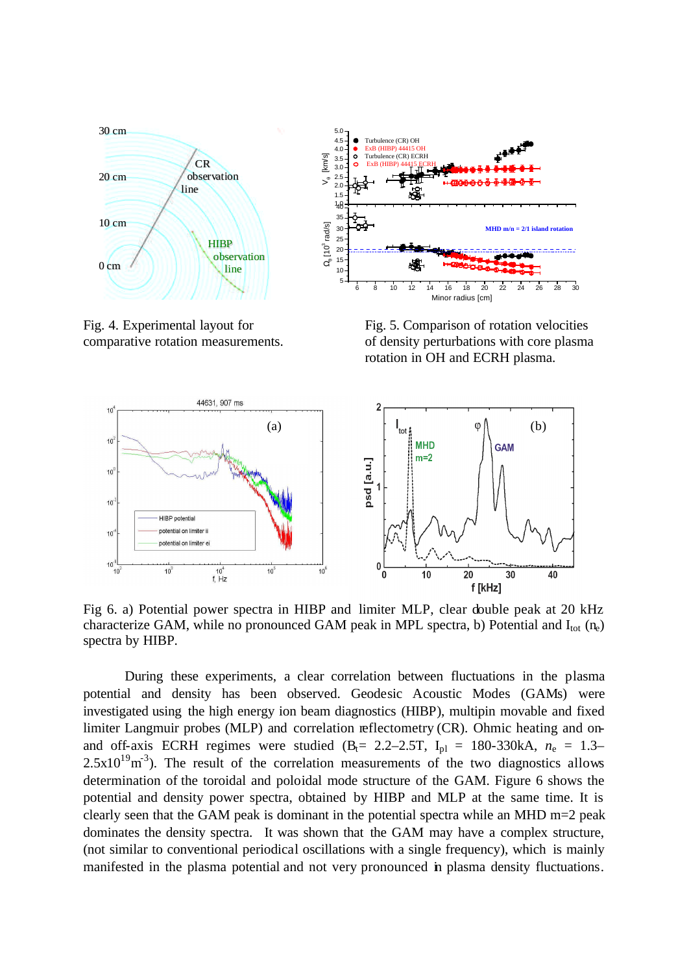





Fig. 5. Comparison of rotation velocities of density perturbations with core plasma rotation in OH and ECRH plasma.



Fig 6. a) Potential power spectra in HIBP and limiter MLP, clear double peak at 20 kHz characterize GAM, while no pronounced GAM peak in MPL spectra, b) Potential and  $I_{tot}$  (n<sub>e</sub>) spectra by HIBP.

During these experiments, a clear correlation between fluctuations in the plasma potential and density has been observed. Geodesic Acoustic Modes (GAMs) were investigated using the high energy ion beam diagnostics (HIBP), multipin movable and fixed limiter Langmuir probes (MLP) and correlation reflectometry (CR). Ohmic heating and onand off-axis ECRH regimes were studied  $(B_t = 2.2-2.5T, I_{pl} = 180-330kA, n_e = 1.3 2.5 \times 10^{19}$  m<sup>-3</sup>). The result of the correlation measurements of the two diagnostics allows determination of the toroidal and poloidal mode structure of the GAM. Figure 6 shows the potential and density power spectra, obtained by HIBP and MLP at the same time. It is clearly seen that the GAM peak is dominant in the potential spectra while an MHD m=2 peak dominates the density spectra. It was shown that the GAM may have a complex structure, (not similar to conventional periodical oscillations with a single frequency), which is mainly manifested in the plasma potential and not very pronounced in plasma density fluctuations.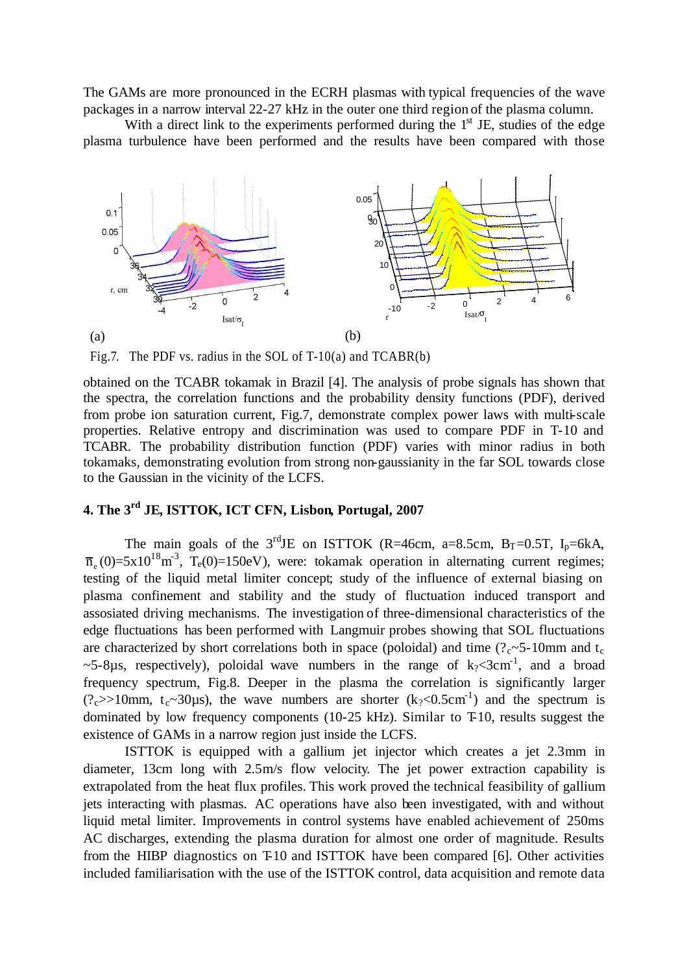The GAMs are more pronounced in the ECRH plasmas with typical frequencies of the wave packages in a narrow interval 22-27 kHz in the outer one third region of the plasma column.

With a direct link to the experiments performed during the  $1<sup>st</sup>$  JE, studies of the edge plasma turbulence have been performed and the results have been compared with those



Fig.7. The PDF vs. radius in the SOL of T-10(a) and TCABR(b)

obtained on the TCABR tokamak in Brazil [4]. The analysis of probe signals has shown that the spectra, the correlation functions and the probability density functions (PDF), derived from probe ion saturation current, Fig.7, demonstrate complex power laws with multi-scale properties. Relative entropy and discrimination was used to compare PDF in T-10 and TCABR. The probability distribution function (PDF) varies with minor radius in both tokamaks, demonstrating evolution from strong non-gaussianity in the far SOL towards close to the Gaussian in the vicinity of the LCFS.

# **4. The 3rd JE, ISTTOK, ICT CFN, Lisbon, Portugal, 2007**

The main goals of the  $3^{\text{rd}}$ JE on ISTTOK (R=46cm, a=8.5cm, B<sub>T</sub>=0.5T, I<sub>p</sub>=6kA,  $\overline{n}_{e}(0)=5x10^{18}m^{3}$ , T<sub>e</sub>(0)=150eV), were: tokamak operation in alternating current regimes; testing of the liquid metal limiter concept; study of the influence of external biasing on plasma confinement and stability and the study of fluctuation induced transport and assosiated driving mechanisms. The investigation of three-dimensional characteristics of the edge fluctuations has been performed with Langmuir probes showing that SOL fluctuations are characterized by short correlations both in space (poloidal) and time ( $?c$ ~5-10mm and t<sub>c</sub>  $\sim$ 5-8 $\mu$ s, respectively), poloidal wave numbers in the range of k $\sim$ 3cm<sup>-1</sup>, and a broad frequency spectrum, Fig.8. Deeper in the plasma the correlation is significantly larger (?c>>10mm, t<sub>c</sub>~30µs), the wave numbers are shorter (k<sub>?</sub><0.5cm<sup>-1</sup>) and the spectrum is dominated by low frequency components (10-25 kHz). Similar to T-10, results suggest the existence of GAMs in a narrow region just inside the LCFS.

ISTTOK is equipped with a gallium jet injector which creates a jet 2.3mm in diameter, 13cm long with 2.5m/s flow velocity. The jet power extraction capability is extrapolated from the heat flux profiles. This work proved the technical feasibility of gallium jets interacting with plasmas. AC operations have also been investigated, with and without liquid metal limiter. Improvements in control systems have enabled achievement of 250ms AC discharges, extending the plasma duration for almost one order of magnitude. Results from the HIBP diagnostics on T-10 and ISTTOK have been compared [6]. Other activities included familiarisation with the use of the ISTTOK control, data acquisition and remote data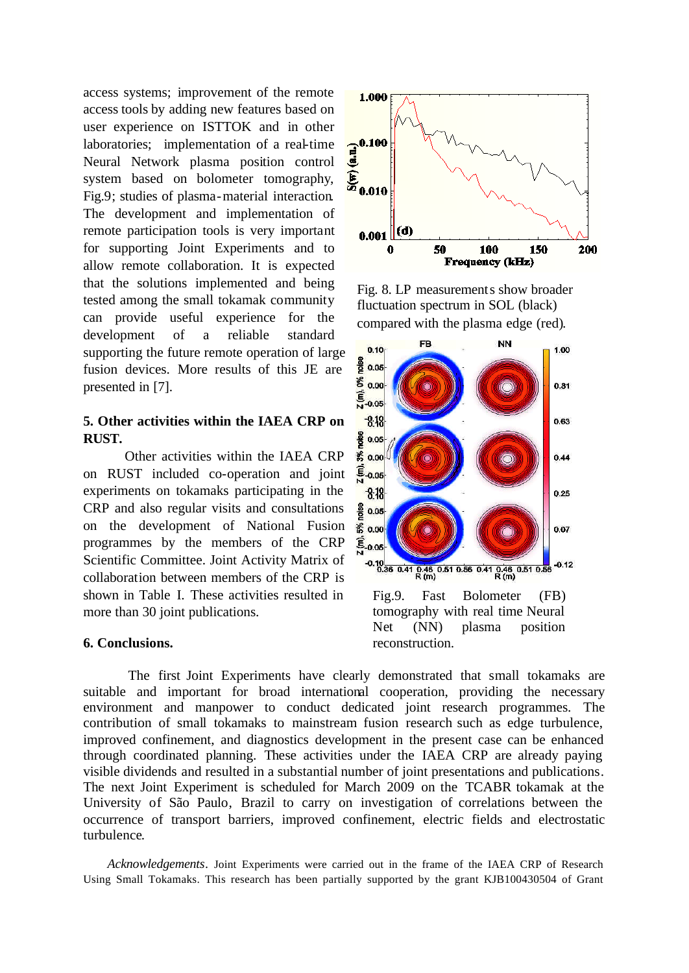access systems; improvement of the remote access tools by adding new features based on user experience on ISTTOK and in other laboratories; implementation of a real-time Neural Network plasma position control system based on bolometer tomography, Fig.9; studies of plasma-material interaction. The development and implementation of remote participation tools is very important for supporting Joint Experiments and to allow remote collaboration. It is expected that the solutions implemented and being tested among the small tokamak community can provide useful experience for the development of a reliable standard supporting the future remote operation of large fusion devices. More results of this JE are presented in [7].

## **5. Other activities within the IAEA CRP on RUST.**

Other activities within the IAEA CRP on RUST included co-operation and joint experiments on tokamaks participating in the CRP and also regular visits and consultations on the development of National Fusion programmes by the members of the CRP Scientific Committee. Joint Activity Matrix of collaboration between members of the CRP is shown in Table I. These activities resulted in more than 30 joint publications.

### **6. Conclusions.**



Fig. 8. LP measurements show broader fluctuation spectrum in SOL (black) compared with the plasma edge (red).



The first Joint Experiments have clearly demonstrated that small tokamaks are suitable and important for broad international cooperation, providing the necessary environment and manpower to conduct dedicated joint research programmes. The contribution of small tokamaks to mainstream fusion research such as edge turbulence, improved confinement, and diagnostics development in the present case can be enhanced through coordinated planning. These activities under the IAEA CRP are already paying visible dividends and resulted in a substantial number of joint presentations and publications. The next Joint Experiment is scheduled for March 2009 on the TCABR tokamak at the University of São Paulo, Brazil to carry on investigation of correlations between the occurrence of transport barriers, improved confinement, electric fields and electrostatic turbulence.

*Acknowledgements.* Joint Experiments were carried out in the frame of the IAEA CRP of Research Using Small Tokamaks. This research has been partially supported by the grant KJB100430504 of Grant